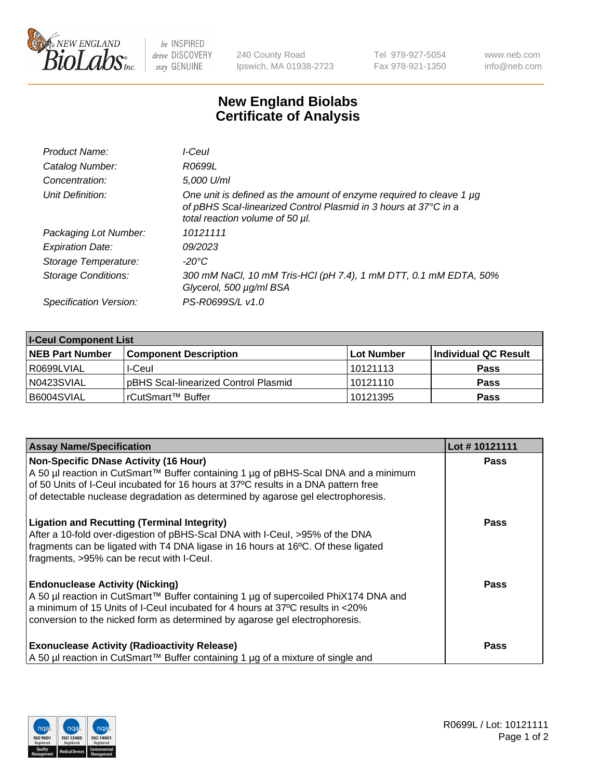

 $be$  INSPIRED drive DISCOVERY stay GENUINE

240 County Road Ipswich, MA 01938-2723 Tel 978-927-5054 Fax 978-921-1350 www.neb.com info@neb.com

## **New England Biolabs Certificate of Analysis**

| Product Name:              | I-Ceul                                                                                                                                                                         |
|----------------------------|--------------------------------------------------------------------------------------------------------------------------------------------------------------------------------|
| Catalog Number:            | R0699L                                                                                                                                                                         |
| Concentration:             | 5.000 U/ml                                                                                                                                                                     |
| Unit Definition:           | One unit is defined as the amount of enzyme required to cleave 1 $\mu$ g<br>of pBHS Scal-linearized Control Plasmid in 3 hours at 37°C in a<br>total reaction volume of 50 µl. |
| Packaging Lot Number:      | 10121111                                                                                                                                                                       |
| <b>Expiration Date:</b>    | 09/2023                                                                                                                                                                        |
| Storage Temperature:       | -20°C                                                                                                                                                                          |
| <b>Storage Conditions:</b> | 300 mM NaCl, 10 mM Tris-HCl (pH 7.4), 1 mM DTT, 0.1 mM EDTA, 50%<br>Glycerol, 500 µg/ml BSA                                                                                    |
| Specification Version:     | PS-R0699S/L v1.0                                                                                                                                                               |

| <b>I-Ceul Component List</b> |                                      |            |                      |  |
|------------------------------|--------------------------------------|------------|----------------------|--|
| <b>NEB Part Number</b>       | <b>Component Description</b>         | Lot Number | Individual QC Result |  |
| R0699LVIAL                   | I-Ceul                               | 10121113   | <b>Pass</b>          |  |
| N0423SVIAL                   | pBHS Scal-linearized Control Plasmid | 10121110   | <b>Pass</b>          |  |
| B6004SVIAL                   | rCutSmart™ Buffer                    | 10121395   | <b>Pass</b>          |  |

| <b>Assay Name/Specification</b>                                                                                                                                                                                                                                                               | Lot #10121111 |
|-----------------------------------------------------------------------------------------------------------------------------------------------------------------------------------------------------------------------------------------------------------------------------------------------|---------------|
| <b>Non-Specific DNase Activity (16 Hour)</b><br>A 50 µl reaction in CutSmart™ Buffer containing 1 µg of pBHS-Scal DNA and a minimum                                                                                                                                                           | <b>Pass</b>   |
| of 50 Units of I-Ceul incubated for 16 hours at 37°C results in a DNA pattern free<br>of detectable nuclease degradation as determined by agarose gel electrophoresis.                                                                                                                        |               |
| <b>Ligation and Recutting (Terminal Integrity)</b><br>After a 10-fold over-digestion of pBHS-Scal DNA with I-Ceul, >95% of the DNA<br>fragments can be ligated with T4 DNA ligase in 16 hours at 16°C. Of these ligated<br>fragments, >95% can be recut with I-Ceul.                          | <b>Pass</b>   |
| <b>Endonuclease Activity (Nicking)</b><br>A 50 µl reaction in CutSmart™ Buffer containing 1 µg of supercoiled PhiX174 DNA and<br>a minimum of 15 Units of I-Ceul incubated for 4 hours at 37°C results in <20%<br>conversion to the nicked form as determined by agarose gel electrophoresis. | <b>Pass</b>   |
| <b>Exonuclease Activity (Radioactivity Release)</b><br>A 50 µl reaction in CutSmart™ Buffer containing 1 µg of a mixture of single and                                                                                                                                                        | Pass          |